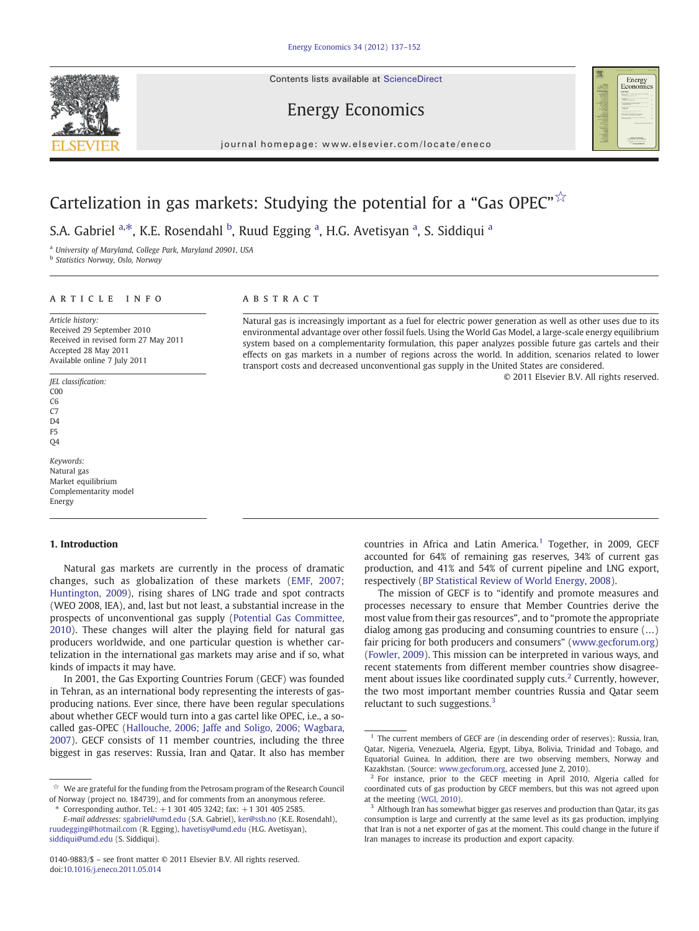Contents lists available at ScienceDirect





journal homepage: www.elsevier.com/locate/eneco

# Cartelization in gas markets: Studying the potential for a "Gas OPEC" $\overrightarrow{x}$

S.A. Gabriel <sup>a,\*</sup>, K.E. Rosendahl <sup>b</sup>, Ruud Egging <sup>a</sup>, H.G. Avetisyan <sup>a</sup>, S. Siddiqui <sup>a</sup>

<sup>a</sup> University of Maryland, College Park, Maryland 20901, USA

**b** Statistics Norway, Oslo, Norway

## article info abstract

Article history: Received 29 September 2010 Received in revised form 27 May 2011 Accepted 28 May 2011 Available online 7 July 2011

### JEL classification: C00  $\overline{C}$  $C<sub>7</sub>$ D4

F5 Q4

Keywords: Natural gas Market equilibrium Complementarity model Energy

## 1. Introduction

Natural gas markets are currently in the process of dramatic changes, such as globalization of these markets [\(EMF, 2007;](#page--1-0) [Huntington, 2009\)](#page--1-0), rising shares of LNG trade and spot contracts (WEO 2008, IEA), and, last but not least, a substantial increase in the prospects of unconventional gas supply ([Potential Gas Committee,](#page--1-0) [2010\)](#page--1-0). These changes will alter the playing field for natural gas producers worldwide, and one particular question is whether cartelization in the international gas markets may arise and if so, what kinds of impacts it may have.

In 2001, the Gas Exporting Countries Forum (GECF) was founded in Tehran, as an international body representing the interests of gasproducing nations. Ever since, there have been regular speculations about whether GECF would turn into a gas cartel like OPEC, i.e., a socalled gas-OPEC ([Hallouche, 2006; Jaffe and Soligo, 2006; Wagbara,](#page--1-0) [2007\)](#page--1-0). GECF consists of 11 member countries, including the three biggest in gas reserves: Russia, Iran and Qatar. It also has member

Corresponding author. Tel.:  $+1$  301 405 3242; fax:  $+1$  301 405 2585.

Natural gas is increasingly important as a fuel for electric power generation as well as other uses due to its environmental advantage over other fossil fuels. Using the World Gas Model, a large-scale energy equilibrium system based on a complementarity formulation, this paper analyzes possible future gas cartels and their effects on gas markets in a number of regions across the world. In addition, scenarios related to lower transport costs and decreased unconventional gas supply in the United States are considered.

© 2011 Elsevier B.V. All rights reserved.

countries in Africa and Latin America. $1$  Together, in 2009, GECF accounted for 64% of remaining gas reserves, 34% of current gas production, and 41% and 54% of current pipeline and LNG export, respectively [\(BP Statistical Review of World Energy, 2008\)](#page--1-0).

The mission of GECF is to "identify and promote measures and processes necessary to ensure that Member Countries derive the most value from their gas resources", and to "promote the appropriate dialog among gas producing and consuming countries to ensure (…) fair pricing for both producers and consumers" ([www.gecforum.org](http://www.gecforum.org)) [\(Fowler, 2009](#page--1-0)). This mission can be interpreted in various ways, and recent statements from different member countries show disagreement about issues like coordinated supply cuts.<sup>2</sup> Currently, however, the two most important member countries Russia and Qatar seem reluctant to such suggestions. $3$ 

We are grateful for the funding from the Petrosam program of the Research Council of Norway (project no. 184739), and for comments from an anonymous referee.

E-mail addresses: [sgabriel@umd.edu](mailto:sgabriel@umd.edu) (S.A. Gabriel), [ker@ssb.no](mailto:ker@ssb.no) (K.E. Rosendahl), [ruudegging@hotmail.com](mailto:ruudegging@hotmail.com) (R. Egging), [havetisy@umd.edu](mailto:havetisy@umd.edu) (H.G. Avetisyan), [siddiqui@umd.edu](mailto:siddiqui@umd.edu) (S. Siddiqui).

<sup>0140-9883/\$</sup> – see front matter © 2011 Elsevier B.V. All rights reserved. doi:[10.1016/j.eneco.2011.05.014](http://dx.doi.org/10.1016/j.eneco.2011.05.014)

 $1$  The current members of GECF are (in descending order of reserves): Russia, Iran, Qatar, Nigeria, Venezuela, Algeria, Egypt, Libya, Bolivia, Trinidad and Tobago, and Equatorial Guinea. In addition, there are two observing members, Norway and Kazakhstan. (Source: [www.gecforum.org,](http://www.gecforum.org) accessed June 2, 2010).

<sup>&</sup>lt;sup>2</sup> For instance, prior to the GECF meeting in April 2010, Algeria called for coordinated cuts of gas production by GECF members, but this was not agreed upon at the meeting ([WGI, 2010](#page--1-0)).

<sup>&</sup>lt;sup>3</sup> Although Iran has somewhat bigger gas reserves and production than Qatar, its gas consumption is large and currently at the same level as its gas production, implying that Iran is not a net exporter of gas at the moment. This could change in the future if Iran manages to increase its production and export capacity.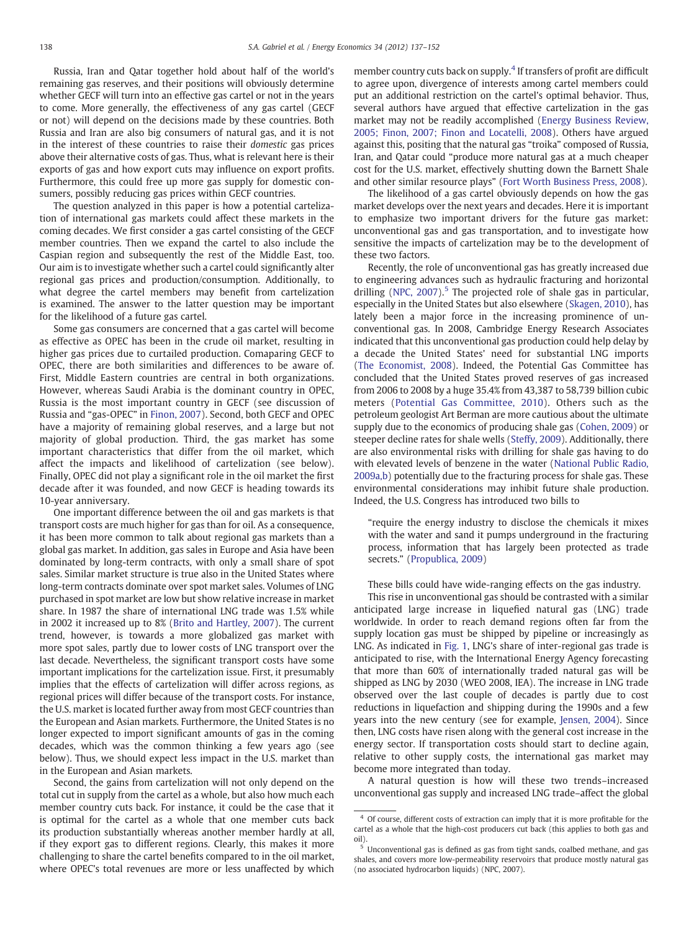Russia, Iran and Qatar together hold about half of the world's remaining gas reserves, and their positions will obviously determine whether GECF will turn into an effective gas cartel or not in the years to come. More generally, the effectiveness of any gas cartel (GECF or not) will depend on the decisions made by these countries. Both Russia and Iran are also big consumers of natural gas, and it is not in the interest of these countries to raise their domestic gas prices above their alternative costs of gas. Thus, what is relevant here is their exports of gas and how export cuts may influence on export profits. Furthermore, this could free up more gas supply for domestic consumers, possibly reducing gas prices within GECF countries.

The question analyzed in this paper is how a potential cartelization of international gas markets could affect these markets in the coming decades. We first consider a gas cartel consisting of the GECF member countries. Then we expand the cartel to also include the Caspian region and subsequently the rest of the Middle East, too. Our aim is to investigate whether such a cartel could significantly alter regional gas prices and production/consumption. Additionally, to what degree the cartel members may benefit from cartelization is examined. The answer to the latter question may be important for the likelihood of a future gas cartel.

Some gas consumers are concerned that a gas cartel will become as effective as OPEC has been in the crude oil market, resulting in higher gas prices due to curtailed production. Comaparing GECF to OPEC, there are both similarities and differences to be aware of. First, Middle Eastern countries are central in both organizations. However, whereas Saudi Arabia is the dominant country in OPEC, Russia is the most important country in GECF (see discussion of Russia and "gas-OPEC" in [Finon, 2007](#page--1-0)). Second, both GECF and OPEC have a majority of remaining global reserves, and a large but not majority of global production. Third, the gas market has some important characteristics that differ from the oil market, which affect the impacts and likelihood of cartelization (see below). Finally, OPEC did not play a significant role in the oil market the first decade after it was founded, and now GECF is heading towards its 10-year anniversary.

One important difference between the oil and gas markets is that transport costs are much higher for gas than for oil. As a consequence, it has been more common to talk about regional gas markets than a global gas market. In addition, gas sales in Europe and Asia have been dominated by long-term contracts, with only a small share of spot sales. Similar market structure is true also in the United States where long-term contracts dominate over spot market sales. Volumes of LNG purchased in spot market are low but show relative increase in market share. In 1987 the share of international LNG trade was 1.5% while in 2002 it increased up to 8% ([Brito and Hartley, 2007\)](#page--1-0). The current trend, however, is towards a more globalized gas market with more spot sales, partly due to lower costs of LNG transport over the last decade. Nevertheless, the significant transport costs have some important implications for the cartelization issue. First, it presumably implies that the effects of cartelization will differ across regions, as regional prices will differ because of the transport costs. For instance, the U.S. market is located further away from most GECF countries than the European and Asian markets. Furthermore, the United States is no longer expected to import significant amounts of gas in the coming decades, which was the common thinking a few years ago (see below). Thus, we should expect less impact in the U.S. market than in the European and Asian markets.

Second, the gains from cartelization will not only depend on the total cut in supply from the cartel as a whole, but also how much each member country cuts back. For instance, it could be the case that it is optimal for the cartel as a whole that one member cuts back its production substantially whereas another member hardly at all, if they export gas to different regions. Clearly, this makes it more challenging to share the cartel benefits compared to in the oil market, where OPEC's total revenues are more or less unaffected by which member country cuts back on supply.<sup>4</sup> If transfers of profit are difficult to agree upon, divergence of interests among cartel members could put an additional restriction on the cartel's optimal behavior. Thus, several authors have argued that effective cartelization in the gas market may not be readily accomplished ([Energy Business Review,](#page--1-0) [2005; Finon, 2007; Finon and Locatelli, 2008](#page--1-0)). Others have argued against this, positing that the natural gas "troika" composed of Russia, Iran, and Qatar could "produce more natural gas at a much cheaper cost for the U.S. market, effectively shutting down the Barnett Shale and other similar resource plays" ([Fort Worth Business Press, 2008\)](#page--1-0).

The likelihood of a gas cartel obviously depends on how the gas market develops over the next years and decades. Here it is important to emphasize two important drivers for the future gas market: unconventional gas and gas transportation, and to investigate how sensitive the impacts of cartelization may be to the development of these two factors.

Recently, the role of unconventional gas has greatly increased due to engineering advances such as hydraulic fracturing and horizontal drilling (NPC,  $2007$ ).<sup>5</sup> The projected role of shale gas in particular, especially in the United States but also elsewhere [\(Skagen, 2010](#page--1-0)), has lately been a major force in the increasing prominence of unconventional gas. In 2008, Cambridge Energy Research Associates indicated that this unconventional gas production could help delay by a decade the United States' need for substantial LNG imports [\(The Economist, 2008](#page--1-0)). Indeed, the Potential Gas Committee has concluded that the United States proved reserves of gas increased from 2006 to 2008 by a huge 35.4% from 43,387 to 58,739 billion cubic meters ([Potential Gas Committee, 2010](#page--1-0)). Others such as the petroleum geologist Art Berman are more cautious about the ultimate supply due to the economics of producing shale gas [\(Cohen, 2009](#page--1-0)) or steeper decline rates for shale wells ([Steffy, 2009](#page--1-0)). Additionally, there are also environmental risks with drilling for shale gas having to do with elevated levels of benzene in the water [\(National Public Radio,](#page--1-0) [2009a,b](#page--1-0)) potentially due to the fracturing process for shale gas. These environmental considerations may inhibit future shale production. Indeed, the U.S. Congress has introduced two bills to

"require the energy industry to disclose the chemicals it mixes with the water and sand it pumps underground in the fracturing process, information that has largely been protected as trade secrets." [\(Propublica, 2009](#page--1-0))

These bills could have wide-ranging effects on the gas industry.

This rise in unconventional gas should be contrasted with a similar anticipated large increase in liquefied natural gas (LNG) trade worldwide. In order to reach demand regions often far from the supply location gas must be shipped by pipeline or increasingly as LNG. As indicated in [Fig. 1](#page--1-0), LNG's share of inter-regional gas trade is anticipated to rise, with the International Energy Agency forecasting that more than 60% of internationally traded natural gas will be shipped as LNG by 2030 (WEO 2008, IEA). The increase in LNG trade observed over the last couple of decades is partly due to cost reductions in liquefaction and shipping during the 1990s and a few years into the new century (see for example, [Jensen, 2004\)](#page--1-0). Since then, LNG costs have risen along with the general cost increase in the energy sector. If transportation costs should start to decline again, relative to other supply costs, the international gas market may become more integrated than today.

A natural question is how will these two trends–increased unconventional gas supply and increased LNG trade–affect the global

<sup>4</sup> Of course, different costs of extraction can imply that it is more profitable for the cartel as a whole that the high-cost producers cut back (this applies to both gas and

oil). <sup>5</sup> Unconventional gas is defined as gas from tight sands, coalbed methane, and gas shales, and covers more low-permeability reservoirs that produce mostly natural gas (no associated hydrocarbon liquids) (NPC, 2007).